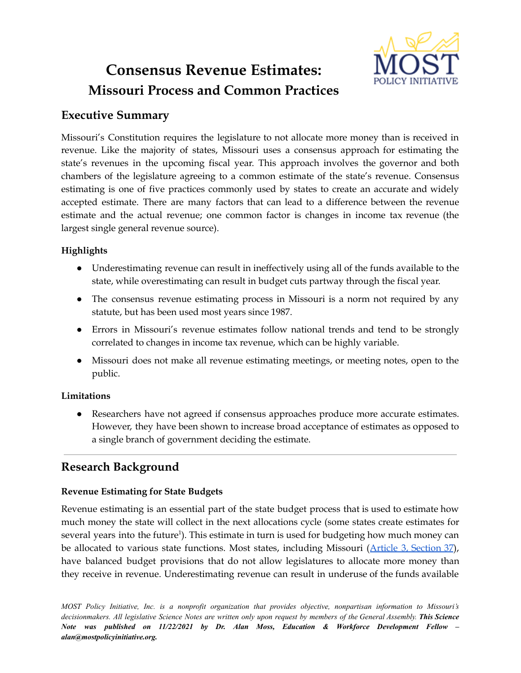# **Consensus Revenue Estimates: Missouri Process and Common Practices**



# **Executive Summary**

Missouri's Constitution requires the legislature to not allocate more money than is received in revenue. Like the majority of states, Missouri uses a consensus approach for estimating the state's revenues in the upcoming fiscal year. This approach involves the governor and both chambers of the legislature agreeing to a common estimate of the state's revenue. Consensus estimating is one of five practices commonly used by states to create an accurate and widely accepted estimate. There are many factors that can lead to a difference between the revenue estimate and the actual revenue; one common factor is changes in income tax revenue (the largest single general revenue source).

## **Highlights**

- Underestimating revenue can result in ineffectively using all of the funds available to the state, while overestimating can result in budget cuts partway through the fiscal year.
- The consensus revenue estimating process in Missouri is a norm not required by any statute, but has been used most years since 1987.
- Errors in Missouri's revenue estimates follow national trends and tend to be strongly correlated to changes in income tax revenue, which can be highly variable.
- Missouri does not make all revenue estimating meetings, or meeting notes, open to the public.

# **Limitations**

● Researchers have not agreed if consensus approaches produce more accurate estimates. However, they have been shown to increase broad acceptance of estimates as opposed to a single branch of government deciding the estimate.

# **Research Background**

# **Revenue Estimating for State Budgets**

Revenue estimating is an essential part of the state budget process that is used to estimate how much money the state will collect in the next allocations cycle (some states create estimates for several years into the future<sup>1</sup>). This estimate in turn is used for budgeting how much money can be allocated to various state functions. Most states, including Missouri (Article 3, [Section](https://revisor.mo.gov/main/OneSection.aspx?section=III++++37&bid=31776&constit=y) 37), have balanced budget provisions that do not allow legislatures to allocate more money than they receive in revenue. Underestimating revenue can result in underuse of the funds available

*MOST Policy Initiative, Inc. is a nonprofit organization that provides objective, nonpartisan information to Missouri's* decisionmakers. All legislative Science Notes are written only upon request by members of the General Assembly. This Science *Note was published on 11/22/2021 by Dr. Alan Moss, Education & Workforce Development Fellow – alan@mostpolicyinitiative.org.*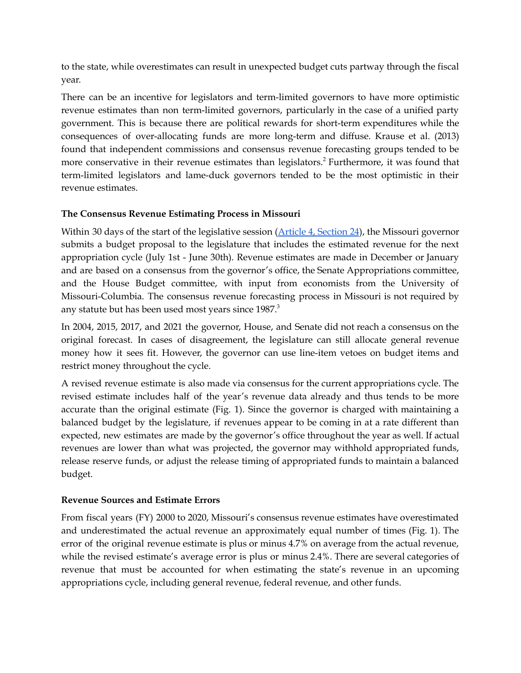to the state, while overestimates can result in unexpected budget cuts partway through the fiscal year.

There can be an incentive for legislators and term-limited governors to have more optimistic revenue estimates than non term-limited governors, particularly in the case of a unified party government. This is because there are political rewards for short-term expenditures while the consequences of over-allocating funds are more long-term and diffuse. Krause et al. (2013) found that independent commissions and consensus revenue forecasting groups tended to be more conservative in their revenue estimates than legislators. <sup>2</sup> Furthermore, it was found that term-limited legislators and lame-duck governors tended to be the most optimistic in their revenue estimates.

#### **The Consensus Revenue Estimating Process in Missouri**

Within 30 days of the start of the legislative session (Article 4, [Section](https://revisor.mo.gov/main/OneSection.aspx?section=IV++++24&bid=31838&constit=y) 24), the Missouri governor submits a budget proposal to the legislature that includes the estimated revenue for the next appropriation cycle (July 1st - June 30th). Revenue estimates are made in December or January and are based on a consensus from the governor's office, the Senate Appropriations committee, and the House Budget committee, with input from economists from the University of Missouri-Columbia. The consensus revenue forecasting process in Missouri is not required by any statute but has been used most years since 1987. 3

In 2004, 2015, 2017, and 2021 the governor, House, and Senate did not reach a consensus on the original forecast. In cases of disagreement, the legislature can still allocate general revenue money how it sees fit. However, the governor can use line-item vetoes on budget items and restrict money throughout the cycle.

A revised revenue estimate is also made via consensus for the current appropriations cycle. The revised estimate includes half of the year's revenue data already and thus tends to be more accurate than the original estimate (Fig. 1). Since the governor is charged with maintaining a balanced budget by the legislature, if revenues appear to be coming in at a rate different than expected, new estimates are made by the governor's office throughout the year as well. If actual revenues are lower than what was projected, the governor may withhold appropriated funds, release reserve funds, or adjust the release timing of appropriated funds to maintain a balanced budget.

#### **Revenue Sources and Estimate Errors**

From fiscal years (FY) 2000 to 2020, Missouri's consensus revenue estimates have overestimated and underestimated the actual revenue an approximately equal number of times (Fig. 1). The error of the original revenue estimate is plus or minus 4.7% on average from the actual revenue, while the revised estimate's average error is plus or minus 2.4%. There are several categories of revenue that must be accounted for when estimating the state's revenue in an upcoming appropriations cycle, including general revenue, federal revenue, and other funds.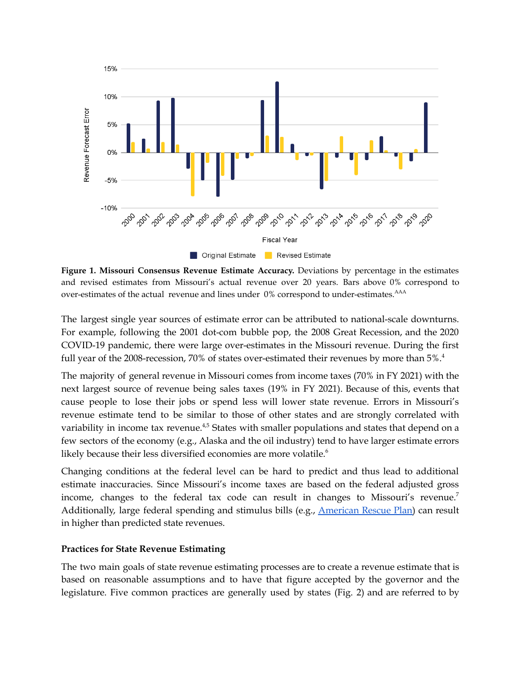

**Figure 1. Missouri Consensus Revenue Estimate Accuracy.** Deviations by percentage in the estimates and revised estimates from Missouri's actual revenue over 20 years. Bars above 0% correspond to over-estimates of the actual revenue and lines under 0% correspond to under-estimates. <sup>AAA</sup>

The largest single year sources of estimate error can be attributed to national-scale downturns. For example, following the 2001 dot-com bubble pop, the 2008 Great Recession, and the 2020 COVID-19 pandemic, there were large over-estimates in the Missouri revenue. During the first full year of the 2008-recession, 70% of states over-estimated their revenues by more than 5%.<sup>4</sup>

The majority of general revenue in Missouri comes from income taxes (70% in FY 2021) with the next largest source of revenue being sales taxes (19% in FY 2021). Because of this, events that cause people to lose their jobs or spend less will lower state revenue. Errors in Missouri's revenue estimate tend to be similar to those of other states and are strongly correlated with variability in income tax revenue. $4,5$  States with smaller populations and states that depend on a few sectors of the economy (e.g., Alaska and the oil industry) tend to have larger estimate errors likely because their less diversified economies are more volatile. 6

Changing conditions at the federal level can be hard to predict and thus lead to additional estimate inaccuracies. Since Missouri's income taxes are based on the federal adjusted gross income, changes to the federal tax code can result in changes to Missouri's revenue.<sup>7</sup> Additionally, large federal spending and stimulus bills (e.g., [American](https://www.congress.gov/bill/117th-congress/house-bill/1319/text) Rescue Plan) can result in higher than predicted state revenues.

#### **Practices for State Revenue Estimating**

The two main goals of state revenue estimating processes are to create a revenue estimate that is based on reasonable assumptions and to have that figure accepted by the governor and the legislature. Five common practices are generally used by states (Fig. 2) and are referred to by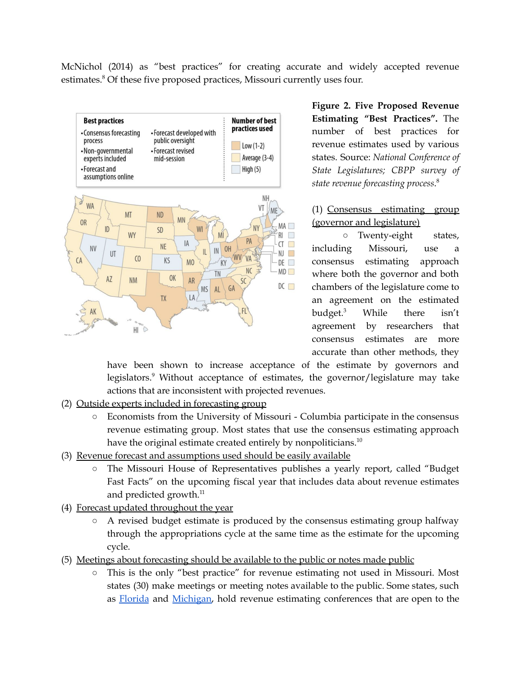McNichol (2014) as "best practices" for creating accurate and widely accepted revenue estimates. <sup>8</sup> Of these five proposed practices, Missouri currently uses four.



**Figure 2. Five Proposed Revenue Estimating "Best Practices".** The number of best practices for revenue estimates used by various states. Source: *National Conference of State Legislatures; CBPP survey of state revenue forecasting process*. 8

### (1) Consensus estimating group (governor and legislature)

○ Twenty-eight states, including Missouri, use a consensus estimating approach where both the governor and both chambers of the legislature come to an agreement on the estimated budget. While there isn't agreement by researchers that consensus estimates are more accurate than other methods, they

have been shown to increase acceptance of the estimate by governors and legislators. <sup>9</sup> Without acceptance of estimates, the governor/legislature may take actions that are inconsistent with projected revenues.

- (2) Outside experts included in forecasting group
	- Economists from the University of Missouri Columbia participate in the consensus revenue estimating group. Most states that use the consensus estimating approach have the original estimate created entirely by nonpoliticians.<sup>10</sup>
- (3) Revenue forecast and assumptions used should be easily available
	- The Missouri House of Representatives publishes a yearly report, called "Budget Fast Facts" on the upcoming fiscal year that includes data about revenue estimates and predicted growth.<sup>11</sup>
- (4) Forecast updated throughout the year
	- A revised budget estimate is produced by the consensus estimating group halfway through the appropriations cycle at the same time as the estimate for the upcoming cycle.
- (5) Meetings about forecasting should be available to the public or notes made public
	- This is the only "best practice" for revenue estimating not used in Missouri. Most states (30) make meetings or meeting notes available to the public. Some states, such as [Florida](http://edr.state.fl.us/content/conferences/) and [Michigan,](https://www.house.mi.gov/hfa/Consensus.asp) hold revenue estimating conferences that are open to the